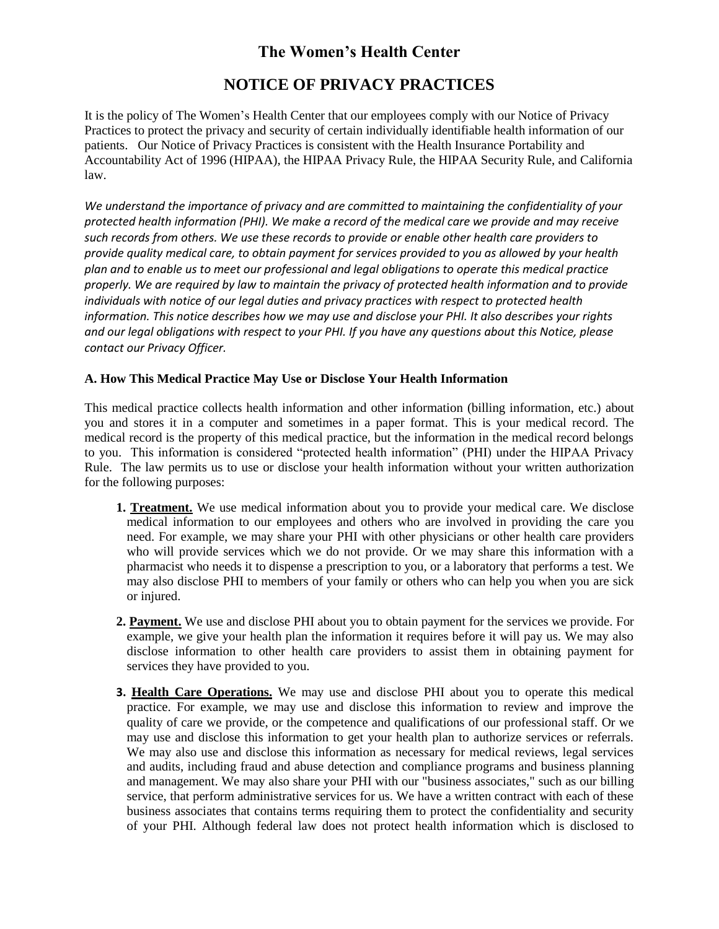## **The Women's Health Center**

# **NOTICE OF PRIVACY PRACTICES**

It is the policy of The Women's Health Center that our employees comply with our Notice of Privacy Practices to protect the privacy and security of certain individually identifiable health information of our patients. Our Notice of Privacy Practices is consistent with the Health Insurance Portability and Accountability Act of 1996 (HIPAA), the HIPAA Privacy Rule, the HIPAA Security Rule, and California law.

*We understand the importance of privacy and are committed to maintaining the confidentiality of your protected health information (PHI). We make a record of the medical care we provide and may receive such records from others. We use these records to provide or enable other health care providers to provide quality medical care, to obtain payment for services provided to you as allowed by your health plan and to enable us to meet our professional and legal obligations to operate this medical practice properly. We are required by law to maintain the privacy of protected health information and to provide individuals with notice of our legal duties and privacy practices with respect to protected health information. This notice describes how we may use and disclose your PHI. It also describes your rights and our legal obligations with respect to your PHI. If you have any questions about this Notice, please contact our Privacy Officer.*

## **A. How This Medical Practice May Use or Disclose Your Health Information**

This medical practice collects health information and other information (billing information, etc.) about you and stores it in a computer and sometimes in a paper format. This is your medical record. The medical record is the property of this medical practice, but the information in the medical record belongs to you. This information is considered "protected health information" (PHI) under the HIPAA Privacy Rule. The law permits us to use or disclose your health information without your written authorization for the following purposes:

- **1. Treatment.** We use medical information about you to provide your medical care. We disclose medical information to our employees and others who are involved in providing the care you need. For example, we may share your PHI with other physicians or other health care providers who will provide services which we do not provide. Or we may share this information with a pharmacist who needs it to dispense a prescription to you, or a laboratory that performs a test. We may also disclose PHI to members of your family or others who can help you when you are sick or injured.
- **2. Payment.** We use and disclose PHI about you to obtain payment for the services we provide. For example, we give your health plan the information it requires before it will pay us. We may also disclose information to other health care providers to assist them in obtaining payment for services they have provided to you.
- **3. Health Care Operations.** We may use and disclose PHI about you to operate this medical practice. For example, we may use and disclose this information to review and improve the quality of care we provide, or the competence and qualifications of our professional staff. Or we may use and disclose this information to get your health plan to authorize services or referrals. We may also use and disclose this information as necessary for medical reviews, legal services and audits, including fraud and abuse detection and compliance programs and business planning and management. We may also share your PHI with our "business associates," such as our billing service, that perform administrative services for us. We have a written contract with each of these business associates that contains terms requiring them to protect the confidentiality and security of your PHI. Although federal law does not protect health information which is disclosed to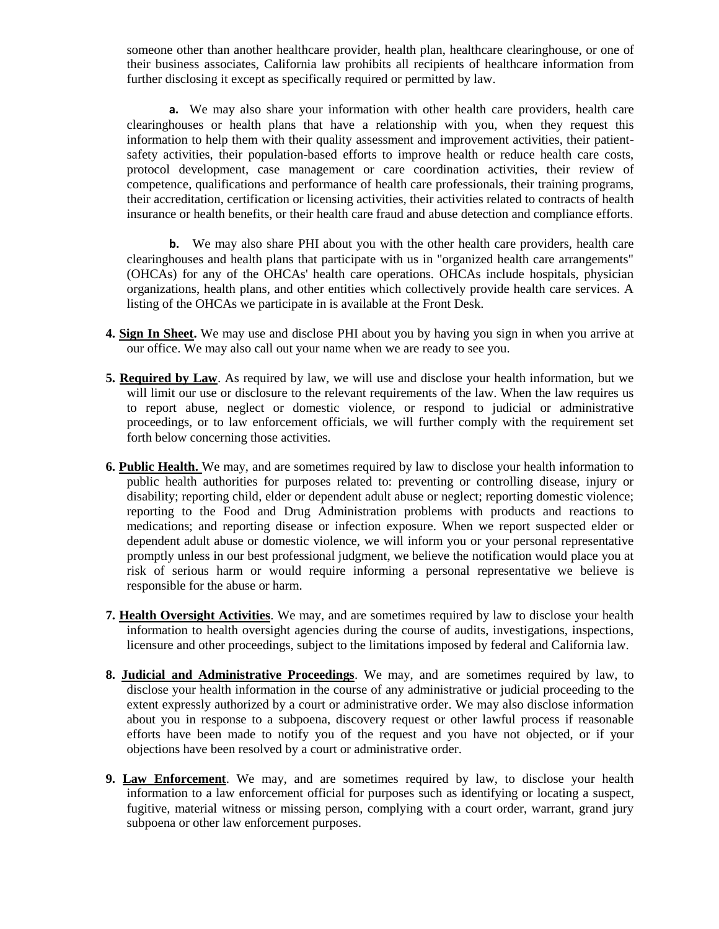someone other than another healthcare provider, health plan, healthcare clearinghouse, or one of their business associates, California law prohibits all recipients of healthcare information from further disclosing it except as specifically required or permitted by law.

**a.** We may also share your information with other health care providers, health care clearinghouses or health plans that have a relationship with you, when they request this information to help them with their quality assessment and improvement activities, their patientsafety activities, their population-based efforts to improve health or reduce health care costs, protocol development, case management or care coordination activities, their review of competence, qualifications and performance of health care professionals, their training programs, their accreditation, certification or licensing activities, their activities related to contracts of health insurance or health benefits, or their health care fraud and abuse detection and compliance efforts.

**b.** We may also share PHI about you with the other health care providers, health care clearinghouses and health plans that participate with us in "organized health care arrangements" (OHCAs) for any of the OHCAs' health care operations. OHCAs include hospitals, physician organizations, health plans, and other entities which collectively provide health care services. A listing of the OHCAs we participate in is available at the Front Desk.

- **4. Sign In Sheet.** We may use and disclose PHI about you by having you sign in when you arrive at our office. We may also call out your name when we are ready to see you.
- **5. Required by Law**. As required by law, we will use and disclose your health information, but we will limit our use or disclosure to the relevant requirements of the law. When the law requires us to report abuse, neglect or domestic violence, or respond to judicial or administrative proceedings, or to law enforcement officials, we will further comply with the requirement set forth below concerning those activities.
- **6. Public Health.** We may, and are sometimes required by law to disclose your health information to public health authorities for purposes related to: preventing or controlling disease, injury or disability; reporting child, elder or dependent adult abuse or neglect; reporting domestic violence; reporting to the Food and Drug Administration problems with products and reactions to medications; and reporting disease or infection exposure. When we report suspected elder or dependent adult abuse or domestic violence, we will inform you or your personal representative promptly unless in our best professional judgment, we believe the notification would place you at risk of serious harm or would require informing a personal representative we believe is responsible for the abuse or harm.
- **7. Health Oversight Activities**. We may, and are sometimes required by law to disclose your health information to health oversight agencies during the course of audits, investigations, inspections, licensure and other proceedings, subject to the limitations imposed by federal and California law.
- **8. Judicial and Administrative Proceedings**. We may, and are sometimes required by law, to disclose your health information in the course of any administrative or judicial proceeding to the extent expressly authorized by a court or administrative order. We may also disclose information about you in response to a subpoena, discovery request or other lawful process if reasonable efforts have been made to notify you of the request and you have not objected, or if your objections have been resolved by a court or administrative order.
- **9. Law Enforcement**. We may, and are sometimes required by law, to disclose your health information to a law enforcement official for purposes such as identifying or locating a suspect, fugitive, material witness or missing person, complying with a court order, warrant, grand jury subpoena or other law enforcement purposes.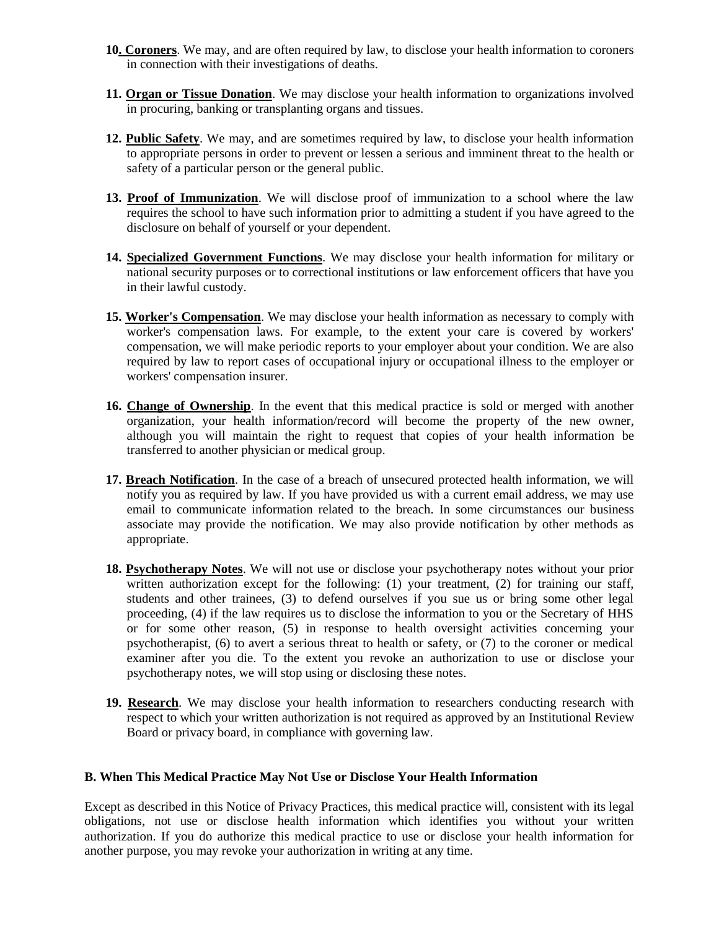- **10. Coroners**. We may, and are often required by law, to disclose your health information to coroners in connection with their investigations of deaths.
- **11. Organ or Tissue Donation**. We may disclose your health information to organizations involved in procuring, banking or transplanting organs and tissues.
- **12. Public Safety**. We may, and are sometimes required by law, to disclose your health information to appropriate persons in order to prevent or lessen a serious and imminent threat to the health or safety of a particular person or the general public.
- **13. Proof of Immunization**. We will disclose proof of immunization to a school where the law requires the school to have such information prior to admitting a student if you have agreed to the disclosure on behalf of yourself or your dependent.
- **14. Specialized Government Functions**. We may disclose your health information for military or national security purposes or to correctional institutions or law enforcement officers that have you in their lawful custody.
- **15. Worker's Compensation**. We may disclose your health information as necessary to comply with worker's compensation laws. For example, to the extent your care is covered by workers' compensation, we will make periodic reports to your employer about your condition. We are also required by law to report cases of occupational injury or occupational illness to the employer or workers' compensation insurer.
- **16. Change of Ownership**. In the event that this medical practice is sold or merged with another organization, your health information/record will become the property of the new owner, although you will maintain the right to request that copies of your health information be transferred to another physician or medical group.
- **17. Breach Notification**. In the case of a breach of unsecured protected health information, we will notify you as required by law. If you have provided us with a current email address, we may use email to communicate information related to the breach. In some circumstances our business associate may provide the notification. We may also provide notification by other methods as appropriate.
- **18. Psychotherapy Notes**. We will not use or disclose your psychotherapy notes without your prior written authorization except for the following: (1) your treatment, (2) for training our staff, students and other trainees, (3) to defend ourselves if you sue us or bring some other legal proceeding, (4) if the law requires us to disclose the information to you or the Secretary of HHS or for some other reason, (5) in response to health oversight activities concerning your psychotherapist, (6) to avert a serious threat to health or safety, or (7) to the coroner or medical examiner after you die. To the extent you revoke an authorization to use or disclose your psychotherapy notes, we will stop using or disclosing these notes.
- **19. Research**. We may disclose your health information to researchers conducting research with respect to which your written authorization is not required as approved by an Institutional Review Board or privacy board, in compliance with governing law.

#### **B. When This Medical Practice May Not Use or Disclose Your Health Information**

Except as described in this Notice of Privacy Practices, this medical practice will, consistent with its legal obligations, not use or disclose health information which identifies you without your written authorization. If you do authorize this medical practice to use or disclose your health information for another purpose, you may revoke your authorization in writing at any time.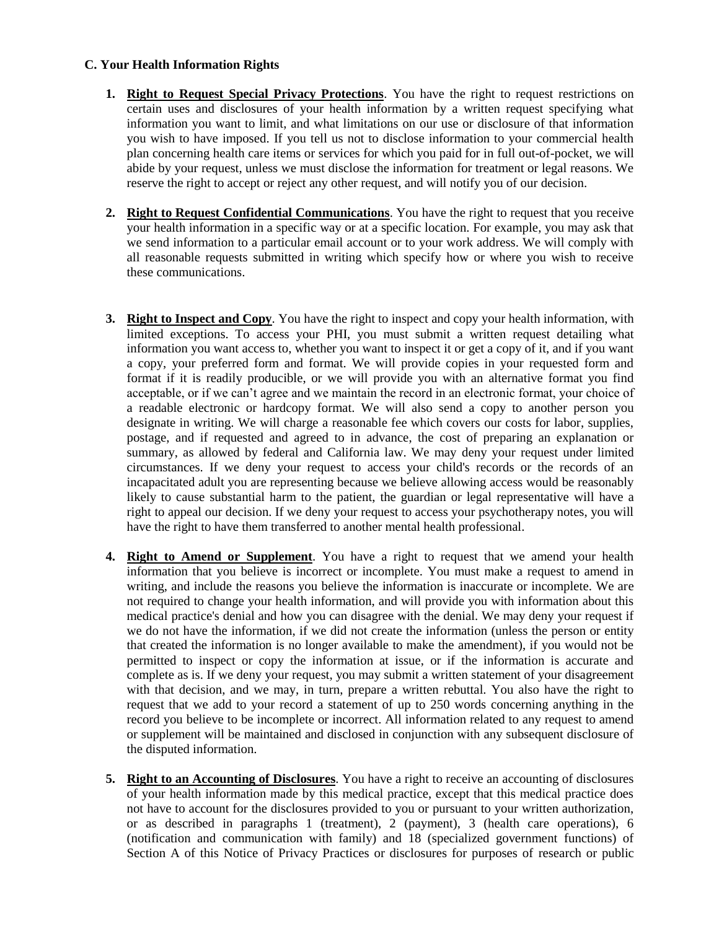## **C. Your Health Information Rights**

- **1. Right to Request Special Privacy Protections**. You have the right to request restrictions on certain uses and disclosures of your health information by a written request specifying what information you want to limit, and what limitations on our use or disclosure of that information you wish to have imposed. If you tell us not to disclose information to your commercial health plan concerning health care items or services for which you paid for in full out-of-pocket, we will abide by your request, unless we must disclose the information for treatment or legal reasons. We reserve the right to accept or reject any other request, and will notify you of our decision.
- **2. Right to Request Confidential Communications**. You have the right to request that you receive your health information in a specific way or at a specific location. For example, you may ask that we send information to a particular email account or to your work address. We will comply with all reasonable requests submitted in writing which specify how or where you wish to receive these communications.
- **3. Right to Inspect and Copy**. You have the right to inspect and copy your health information, with limited exceptions. To access your PHI, you must submit a written request detailing what information you want access to, whether you want to inspect it or get a copy of it, and if you want a copy, your preferred form and format. We will provide copies in your requested form and format if it is readily producible, or we will provide you with an alternative format you find acceptable, or if we can't agree and we maintain the record in an electronic format, your choice of a readable electronic or hardcopy format. We will also send a copy to another person you designate in writing. We will charge a reasonable fee which covers our costs for labor, supplies, postage, and if requested and agreed to in advance, the cost of preparing an explanation or summary, as allowed by federal and California law. We may deny your request under limited circumstances. If we deny your request to access your child's records or the records of an incapacitated adult you are representing because we believe allowing access would be reasonably likely to cause substantial harm to the patient, the guardian or legal representative will have a right to appeal our decision. If we deny your request to access your psychotherapy notes, you will have the right to have them transferred to another mental health professional.
- **4. Right to Amend or Supplement**. You have a right to request that we amend your health information that you believe is incorrect or incomplete. You must make a request to amend in writing, and include the reasons you believe the information is inaccurate or incomplete. We are not required to change your health information, and will provide you with information about this medical practice's denial and how you can disagree with the denial. We may deny your request if we do not have the information, if we did not create the information (unless the person or entity that created the information is no longer available to make the amendment), if you would not be permitted to inspect or copy the information at issue, or if the information is accurate and complete as is. If we deny your request, you may submit a written statement of your disagreement with that decision, and we may, in turn, prepare a written rebuttal. You also have the right to request that we add to your record a statement of up to 250 words concerning anything in the record you believe to be incomplete or incorrect. All information related to any request to amend or supplement will be maintained and disclosed in conjunction with any subsequent disclosure of the disputed information.
- **5. Right to an Accounting of Disclosures**. You have a right to receive an accounting of disclosures of your health information made by this medical practice, except that this medical practice does not have to account for the disclosures provided to you or pursuant to your written authorization, or as described in paragraphs 1 (treatment), 2 (payment), 3 (health care operations), 6 (notification and communication with family) and 18 (specialized government functions) of Section A of this Notice of Privacy Practices or disclosures for purposes of research or public